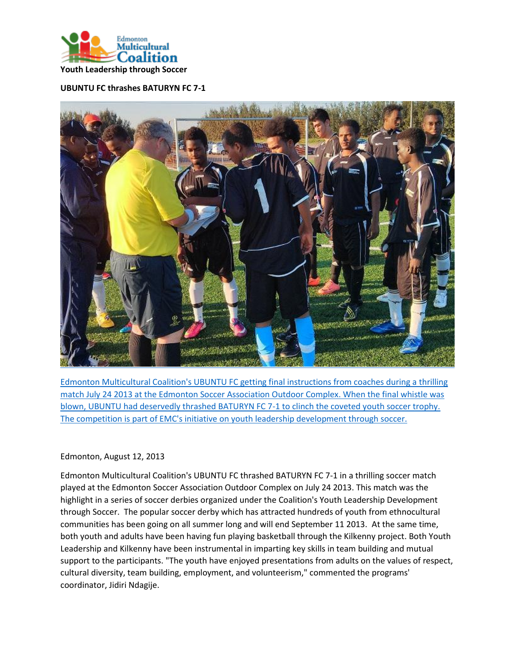

## **UBUNTU FC thrashes BATURYN FC 7-1**



[Edmonton Multicultural Coalition's UBUNTU FC getting final instructions from coaches during a thrilling](http://www.emcoalition.ca/wp-content/uploads/2013/08/kilkenny_soccer.jpg)  [match July 24 2013 at the Edmonton Soccer Association Outdoor Complex. When the final whistle was](http://www.emcoalition.ca/wp-content/uploads/2013/08/kilkenny_soccer.jpg)  [blown, UBUNTU had deservedly thrashed BATURYN FC 7-1](http://www.emcoalition.ca/wp-content/uploads/2013/08/kilkenny_soccer.jpg) to clinch the coveted youth soccer trophy. [The competition is part of EMC's initiative on youth leadership development through soccer.](http://www.emcoalition.ca/wp-content/uploads/2013/08/kilkenny_soccer.jpg)

## Edmonton, August 12, 2013

Edmonton Multicultural Coalition's UBUNTU FC thrashed BATURYN FC 7-1 in a thrilling soccer match played at the Edmonton Soccer Association Outdoor Complex on July 24 2013. This match was the highlight in a series of soccer derbies organized under the Coalition's Youth Leadership Development through Soccer. The popular soccer derby which has attracted hundreds of youth from ethnocultural communities has been going on all summer long and will end September 11 2013. At the same time, both youth and adults have been having fun playing basketball through the Kilkenny project. Both Youth Leadership and Kilkenny have been instrumental in imparting key skills in team building and mutual support to the participants. "The youth have enjoyed presentations from adults on the values of respect, cultural diversity, team building, employment, and volunteerism," commented the programs' coordinator, Jidiri Ndagije.